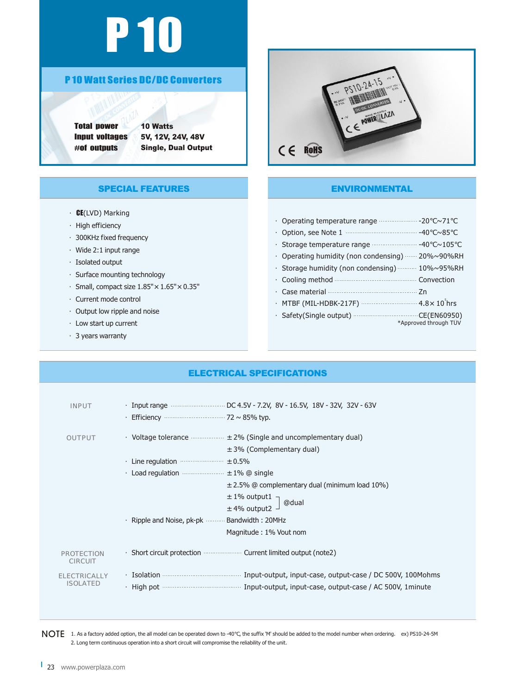# P 10

### P 10 Watt Series DC/DC Converters

Total power Input voltages #of outputs

10 Watts 5V, 12V, 24V, 48V Single, Dual Output

# PS10-24-15 CE POWER LIVE  $C \in R$ OHS

#### SPECIAL FEATURES

- ·CE(LVD) Marking
- ·High efficiency
- ·300KHz fixed frequency
- ·Wide 2:1 input range
- ·Isolated output
- ·Surface mounting technology
- $\cdot$  Small, compact size  $1.85" \times 1.65" \times 0.35"$
- ·Current mode control
- ·Output low ripple and noise
- ·Low start up current
- ·3 years warranty

# ENVIRONMENTAL

|           |                                                                   | $\sim$ 71             |
|-----------|-------------------------------------------------------------------|-----------------------|
| $\bullet$ | Option, see Note 1                                                | $~\sim 85$            |
|           | Storage temperature range $\cdots$ 40 $\sim$ 105                  |                       |
|           | Operating humidity (non condensing)  20%~90%RH                    |                       |
|           | · Storage humidity (non condensing)  10%~95%RH                    |                       |
|           | Cooling method <b>Convertion</b> Convection                       |                       |
|           |                                                                   |                       |
|           | • MTBF (MIL-HDBK-217F) •••••••••••••••••••••••••••••• 4.8× 10 hrs |                       |
|           |                                                                   | *Approved through TUV |

#### ELECTRICAL SPECIFICATIONS

| <b>INPUT</b>                           | Efficiency <u></u> 72 ~ 85% typ.                                                                                  |
|----------------------------------------|-------------------------------------------------------------------------------------------------------------------|
| <b>OUTPUT</b>                          | • Voltage tolerance $\cdots$ $\cdots$ $\pm$ 2% (Single and uncomplementary dual)<br>$\pm$ 3% (Complementary dual) |
|                                        | Line regulation $\cdots$ $\pm$ 0.5%                                                                               |
|                                        | Load regulation $\cdots$ $\pm$ 1% @ single                                                                        |
|                                        | $\pm$ 2.5% @ complementary dual (minimum load 10%)                                                                |
|                                        | $\pm$ 1% output1<br>$\pm$ 4% output2 $\overline{\phantom{a}}$ @dual                                               |
|                                        |                                                                                                                   |
|                                        | Ripple and Noise, pk-pk ……… Bandwidth: 20MHz                                                                      |
|                                        | Magnitude: 1% Vout nom                                                                                            |
| <b>PROTECTION</b><br><b>CIRCUIT</b>    | . Short circuit protection <b>Summan Surface Instant Short Circuit</b> (note2)                                    |
| <b>ELECTRICALLY</b><br><b>ISOLATED</b> | High pot <u>www. Construction of the Input-output</u> , input-case, output-case / AC 500V, 1minute                |
|                                        |                                                                                                                   |

 $\sf{NOTE}$  1. As a factory added option, the all model can be operated down to -40 , the suffix 'M' should be added to the model number when ordering. ex) PS10-24-5M 2. Long term continuous operation into a short circuit will compromise the reliability of the unit.